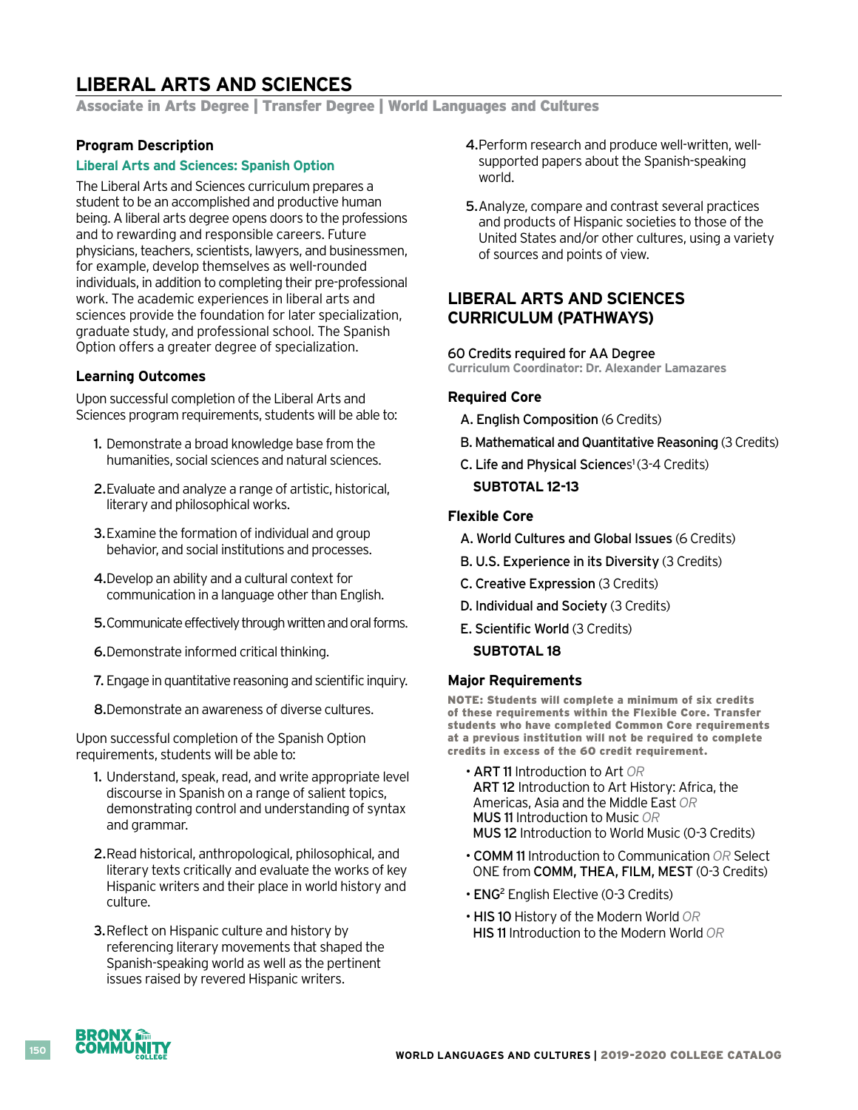# **LIBERAL ARTS AND SCIENCES**

Associate in Arts Degree | Transfer Degree | World Languages and Cultures

### **Program Description**

### **Liberal Arts and Sciences: Spanish Option**

The Liberal Arts and Sciences curriculum prepares a student to be an accomplished and productive human being. A liberal arts degree opens doors to the professions and to rewarding and responsible careers. Future physicians, teachers, scientists, lawyers, and businessmen, for example, develop themselves as well-rounded individuals, in addition to completing their pre-professional work. The academic experiences in liberal arts and sciences provide the foundation for later specialization, graduate study, and professional school. The Spanish Option offers a greater degree of specialization.

### **Learning Outcomes**

Upon successful completion of the Liberal Arts and Sciences program requirements, students will be able to:

- 1. Demonstrate a broad knowledge base from the humanities, social sciences and natural sciences.
- 2.Evaluate and analyze a range of artistic, historical, literary and philosophical works.
- 3.Examine the formation of individual and group behavior, and social institutions and processes.
- 4. Develop an ability and a cultural context for communication in a language other than English.
- 5.Communicate effectively through written and oral forms.
- 6.Demonstrate informed critical thinking.
- 7. Engage in quantitative reasoning and scientific inquiry.
- 8.Demonstrate an awareness of diverse cultures.

Upon successful completion of the Spanish Option requirements, students will be able to:

- 1. Understand, speak, read, and write appropriate level discourse in Spanish on a range of salient topics, demonstrating control and understanding of syntax and grammar.
- 2.Read historical, anthropological, philosophical, and literary texts critically and evaluate the works of key Hispanic writers and their place in world history and culture.
- **3. Reflect on Hispanic culture and history by** referencing literary movements that shaped the Spanish-speaking world as well as the pertinent issues raised by revered Hispanic writers.
- 4.Perform research and produce well-written, wellsupported papers about the Spanish-speaking world.
- 5.Analyze, compare and contrast several practices and products of Hispanic societies to those of the United States and/or other cultures, using a variety of sources and points of view.

## **LIBERAL ARTS AND SCIENCES CURRICULUM (PATHWAYS)**

### 60 Credits required for AA Degree

**Curriculum Coordinator: Dr. Alexander Lamazares**

### **Required Core**

- A. English Composition (6 Credits)
- B. Mathematical and Quantitative Reasoning (3 Credits)
- C. Life and Physical Sciences<sup>1</sup> (3-4 Credits) **SUBTOTAL 12-13**

### **Flexible Core**

- A. World Cultures and Global Issues (6 Credits)
- B. U.S. Experience in its Diversity (3 Credits)
- C. Creative Expression (3 Credits)
- D. Individual and Society (3 Credits)
- E. Scientific World (3 Credits)
	- **SUBTOTAL 18**

### **Major Requirements**

NOTE: Students will complete a minimum of six credits of these requirements within the Flexible Core. Transfer students who have completed Common Core requirements at a previous institution will not be required to complete credits in excess of the 60 credit requirement.

- ART 11 Introduction to Art *OR*  ART 12 Introduction to Art History: Africa, the Americas, Asia and the Middle East *OR*  MUS 11 Introduction to Music *OR*  MUS 12 Introduction to World Music (0-3 Credits)
- COMM 11 Introduction to Communication *OR* Select ONE from COMM, THEA, FILM, MEST (0-3 Credits)
- ENG2 English Elective (0-3 Credits)
- HIS 10 History of the Modern World *OR*  HIS 11 Introduction to the Modern World *OR*